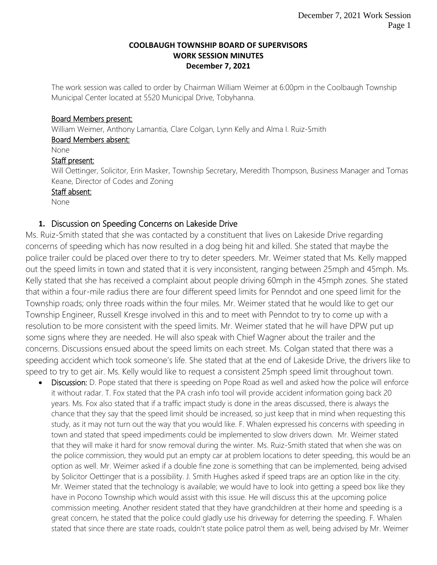#### **COOLBAUGH TOWNSHIP BOARD OF SUPERVISORS WORK SESSION MINUTES December 7, 2021**

The work session was called to order by Chairman William Weimer at 6:00pm in the Coolbaugh Township Municipal Center located at 5520 Municipal Drive, Tobyhanna.

## Board Members present:

William Weimer, Anthony Lamantia, Clare Colgan, Lynn Kelly and Alma I. Ruiz-Smith

#### Board Members absent:

None

## Staff present:

Will Oettinger, Solicitor, Erin Masker, Township Secretary, Meredith Thompson, Business Manager and Tomas Keane, Director of Codes and Zoning

## Staff absent:

None

# **1.** Discussion on Speeding Concerns on Lakeside Drive

Ms. Ruiz-Smith stated that she was contacted by a constituent that lives on Lakeside Drive regarding concerns of speeding which has now resulted in a dog being hit and killed. She stated that maybe the police trailer could be placed over there to try to deter speeders. Mr. Weimer stated that Ms. Kelly mapped out the speed limits in town and stated that it is very inconsistent, ranging between 25mph and 45mph. Ms. Kelly stated that she has received a complaint about people driving 60mph in the 45mph zones. She stated that within a four-mile radius there are four different speed limits for Penndot and one speed limit for the Township roads; only three roads within the four miles. Mr. Weimer stated that he would like to get our Township Engineer, Russell Kresge involved in this and to meet with Penndot to try to come up with a resolution to be more consistent with the speed limits. Mr. Weimer stated that he will have DPW put up some signs where they are needed. He will also speak with Chief Wagner about the trailer and the concerns. Discussions ensued about the speed limits on each street. Ms. Colgan stated that there was a speeding accident which took someone's life. She stated that at the end of Lakeside Drive, the drivers like to speed to try to get air. Ms. Kelly would like to request a consistent 25mph speed limit throughout town.

• Discussion: D. Pope stated that there is speeding on Pope Road as well and asked how the police will enforce it without radar. T. Fox stated that the PA crash info tool will provide accident information going back 20 years. Ms. Fox also stated that if a traffic impact study is done in the areas discussed, there is always the chance that they say that the speed limit should be increased, so just keep that in mind when requesting this study, as it may not turn out the way that you would like. F. Whalen expressed his concerns with speeding in town and stated that speed impediments could be implemented to slow drivers down. Mr. Weimer stated that they will make it hard for snow removal during the winter. Ms. Ruiz-Smith stated that when she was on the police commission, they would put an empty car at problem locations to deter speeding, this would be an option as well. Mr. Weimer asked if a double fine zone is something that can be implemented, being advised by Solicitor Oettinger that is a possibility. J. Smith Hughes asked if speed traps are an option like in the city. Mr. Weimer stated that the technology is available; we would have to look into getting a speed box like they have in Pocono Township which would assist with this issue. He will discuss this at the upcoming police commission meeting. Another resident stated that they have grandchildren at their home and speeding is a great concern, he stated that the police could gladly use his driveway for deterring the speeding. F. Whalen stated that since there are state roads, couldn't state police patrol them as well, being advised by Mr. Weimer